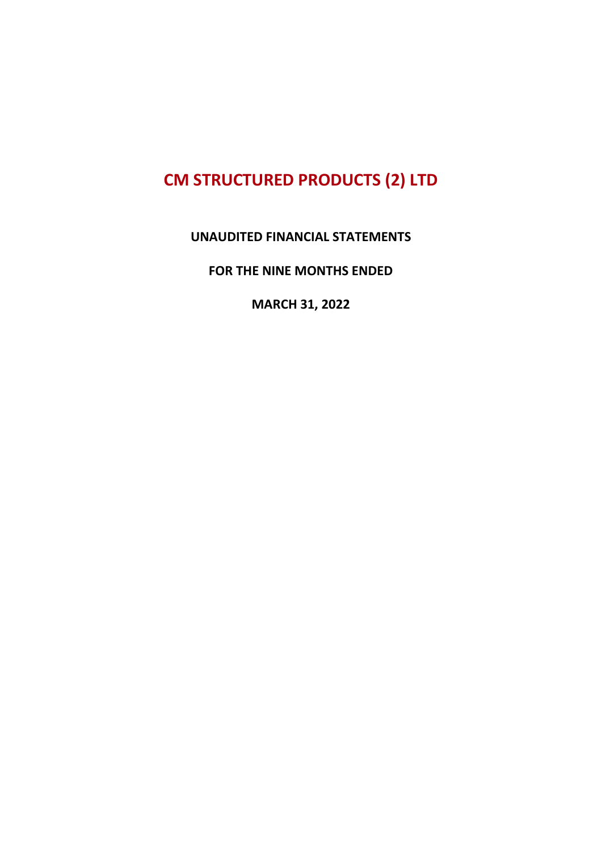#### UNAUDITED FINANCIAL STATEMENTS

FOR THE NINE MONTHS ENDED

MARCH 31, 2022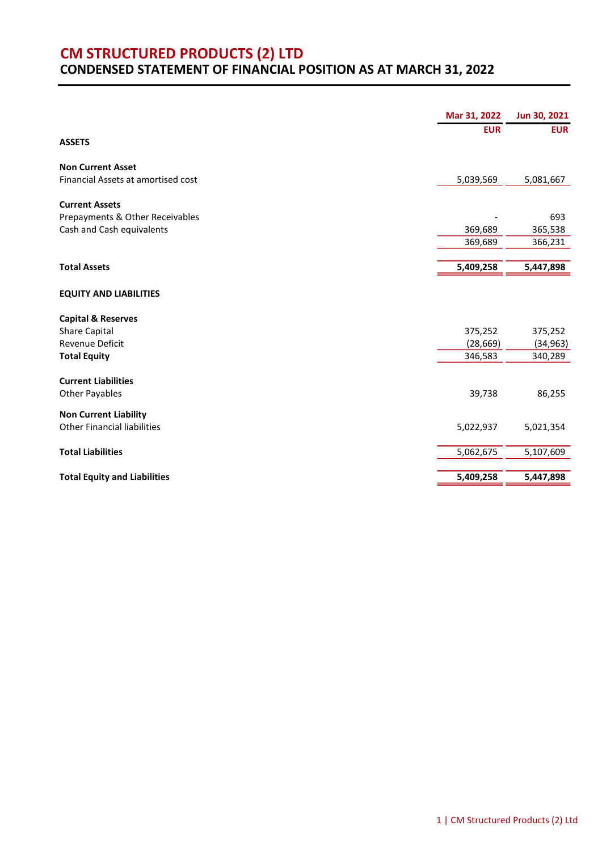#### CM STRUCTURED PRODUCTS (2) LTD CONDENSED STATEMENT OF FINANCIAL POSITION AS AT MARCH 31, 2022

|                                                              | Mar 31, 2022 | Jun 30, 2021   |
|--------------------------------------------------------------|--------------|----------------|
|                                                              | <b>EUR</b>   | <b>EUR</b>     |
| <b>ASSETS</b>                                                |              |                |
| <b>Non Current Asset</b>                                     |              |                |
| Financial Assets at amortised cost                           | 5,039,569    | 5,081,667      |
|                                                              |              |                |
| <b>Current Assets</b>                                        |              |                |
| Prepayments & Other Receivables<br>Cash and Cash equivalents | 369,689      | 693<br>365,538 |
|                                                              | 369,689      | 366,231        |
|                                                              |              |                |
| <b>Total Assets</b>                                          | 5,409,258    | 5,447,898      |
|                                                              |              |                |
| <b>EQUITY AND LIABILITIES</b>                                |              |                |
|                                                              |              |                |
| <b>Capital &amp; Reserves</b><br><b>Share Capital</b>        | 375,252      | 375,252        |
| <b>Revenue Deficit</b>                                       | (28, 669)    | (34, 963)      |
| <b>Total Equity</b>                                          | 346,583      | 340,289        |
|                                                              |              |                |
| <b>Current Liabilities</b>                                   |              |                |
| <b>Other Payables</b>                                        | 39,738       | 86,255         |
| <b>Non Current Liability</b>                                 |              |                |
| <b>Other Financial liabilities</b>                           | 5,022,937    | 5,021,354      |
|                                                              |              |                |
| <b>Total Liabilities</b>                                     | 5,062,675    | 5,107,609      |
|                                                              |              |                |
| <b>Total Equity and Liabilities</b>                          | 5,409,258    | 5,447,898      |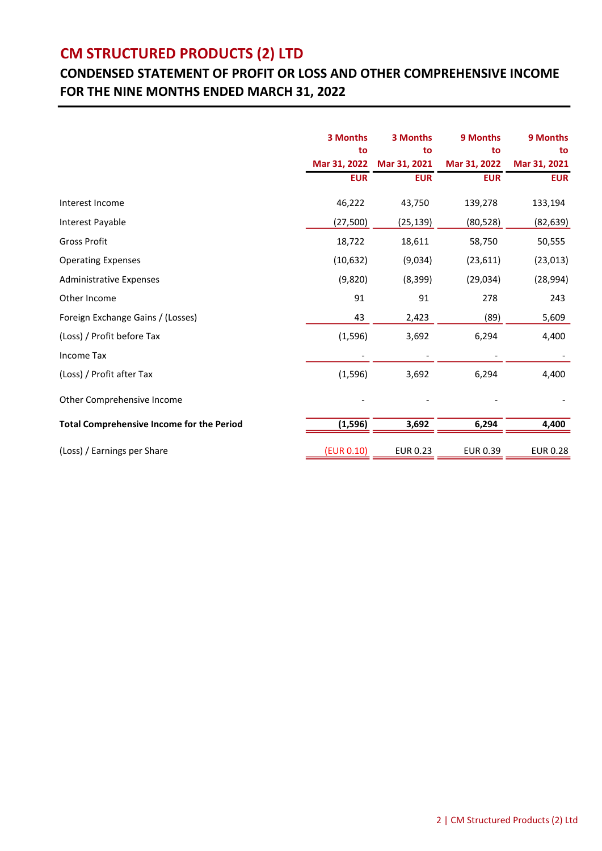### CONDENSED STATEMENT OF PROFIT OR LOSS AND OTHER COMPREHENSIVE INCOME FOR THE NINE MONTHS ENDED MARCH 31, 2022

|                                                  | 3 Months     | 3 Months        | 9 Months        | 9 Months        |
|--------------------------------------------------|--------------|-----------------|-----------------|-----------------|
|                                                  | to           | to              | to              | to              |
|                                                  | Mar 31, 2022 | Mar 31, 2021    | Mar 31, 2022    | Mar 31, 2021    |
|                                                  | <b>EUR</b>   | <b>EUR</b>      | <b>EUR</b>      | <b>EUR</b>      |
| Interest Income                                  | 46,222       | 43,750          | 139,278         | 133,194         |
| Interest Payable                                 | (27, 500)    | (25, 139)       | (80, 528)       | (82, 639)       |
| <b>Gross Profit</b>                              | 18,722       | 18,611          | 58,750          | 50,555          |
| <b>Operating Expenses</b>                        | (10, 632)    | (9,034)         | (23, 611)       | (23, 013)       |
| <b>Administrative Expenses</b>                   | (9,820)      | (8, 399)        | (29, 034)       | (28, 994)       |
| Other Income                                     | 91           | 91              | 278             | 243             |
| Foreign Exchange Gains / (Losses)                | 43           | 2,423           | (89)            | 5,609           |
| (Loss) / Profit before Tax                       | (1, 596)     | 3,692           | 6,294           | 4,400           |
| <b>Income Tax</b>                                |              |                 |                 |                 |
| (Loss) / Profit after Tax                        | (1, 596)     | 3,692           | 6,294           | 4,400           |
| Other Comprehensive Income                       |              |                 |                 |                 |
| <b>Total Comprehensive Income for the Period</b> | (1, 596)     | 3,692           | 6,294           | 4,400           |
| (Loss) / Earnings per Share                      | (EUR 0.10)   | <b>EUR 0.23</b> | <b>EUR 0.39</b> | <b>EUR 0.28</b> |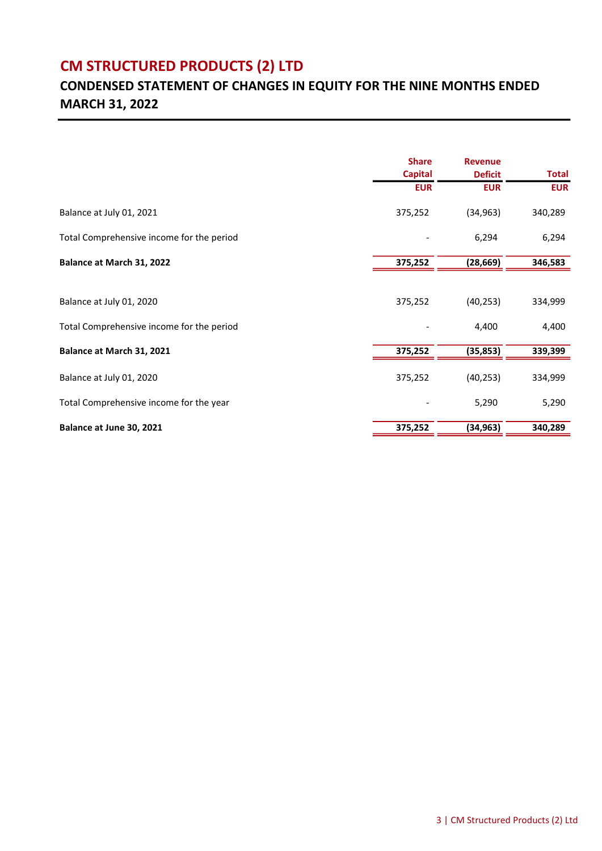### CONDENSED STATEMENT OF CHANGES IN EQUITY FOR THE NINE MONTHS ENDED MARCH 31, 2022

|                                           | <b>Share</b><br><b>Capital</b><br><b>EUR</b> | <b>Revenue</b><br><b>Deficit</b><br><b>EUR</b> | <b>Total</b><br><b>EUR</b> |
|-------------------------------------------|----------------------------------------------|------------------------------------------------|----------------------------|
|                                           |                                              |                                                |                            |
|                                           |                                              |                                                |                            |
| Balance at July 01, 2021                  | 375,252                                      | (34, 963)                                      | 340,289                    |
| Total Comprehensive income for the period |                                              | 6,294                                          | 6,294                      |
| Balance at March 31, 2022                 | 375,252                                      | (28, 669)                                      | 346,583                    |
|                                           |                                              |                                                |                            |
| Balance at July 01, 2020                  | 375,252                                      | (40, 253)                                      | 334,999                    |
| Total Comprehensive income for the period |                                              | 4,400                                          | 4,400                      |
| Balance at March 31, 2021                 | 375,252                                      | (35, 853)                                      | 339,399                    |
| Balance at July 01, 2020                  | 375,252                                      | (40, 253)                                      | 334,999                    |
| Total Comprehensive income for the year   |                                              | 5,290                                          | 5,290                      |
| Balance at June 30, 2021                  | 375,252                                      | (34, 963)                                      | 340,289                    |